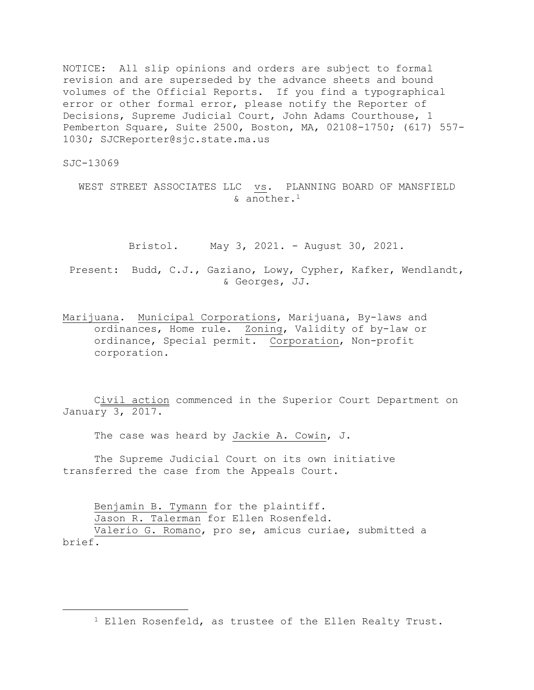NOTICE: All slip opinions and orders are subject to formal revision and are superseded by the advance sheets and bound volumes of the Official Reports. If you find a typographical error or other formal error, please notify the Reporter of Decisions, Supreme Judicial Court, John Adams Courthouse, 1 Pemberton Square, Suite 2500, Boston, MA, 02108-1750; (617) 557- 1030; SJCReporter@sjc.state.ma.us

SJC-13069

WEST STREET ASSOCIATES LLC vs. PLANNING BOARD OF MANSFIELD & another.<sup>1</sup>

Bristol. May 3, 2021. - August 30, 2021.

Present: Budd, C.J., Gaziano, Lowy, Cypher, Kafker, Wendlandt, & Georges, JJ.

Marijuana. Municipal Corporations, Marijuana, By-laws and ordinances, Home rule. Zoning, Validity of by-law or ordinance, Special permit. Corporation, Non-profit corporation.

Civil action commenced in the Superior Court Department on January 3, 2017.

The case was heard by Jackie A. Cowin, J.

The Supreme Judicial Court on its own initiative transferred the case from the Appeals Court.

Benjamin B. Tymann for the plaintiff. Jason R. Talerman for Ellen Rosenfeld. Valerio G. Romano, pro se, amicus curiae, submitted a

brief.

<sup>1</sup> Ellen Rosenfeld, as trustee of the Ellen Realty Trust.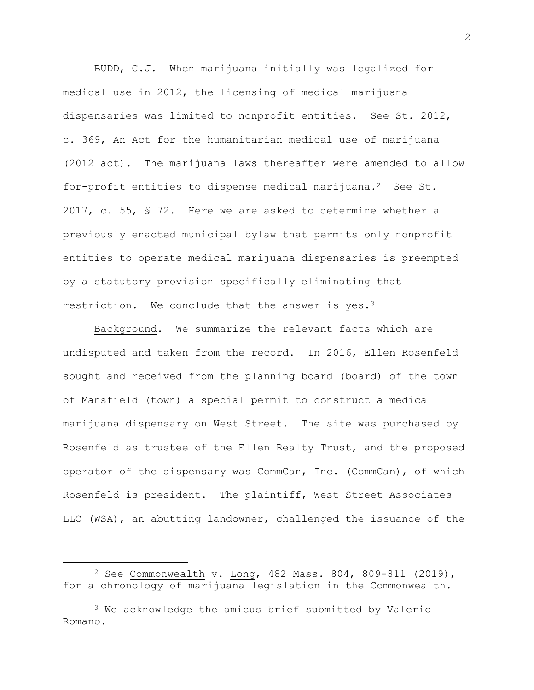BUDD, C.J. When marijuana initially was legalized for medical use in 2012, the licensing of medical marijuana dispensaries was limited to nonprofit entities. See St. 2012, c. 369, An Act for the humanitarian medical use of marijuana (2012 act). The marijuana laws thereafter were amended to allow for-profit entities to dispense medical marijuana.<sup>2</sup> See St. 2017, c. 55, § 72. Here we are asked to determine whether a previously enacted municipal bylaw that permits only nonprofit entities to operate medical marijuana dispensaries is preempted by a statutory provision specifically eliminating that restriction. We conclude that the answer is  $yes.^3$ 

Background. We summarize the relevant facts which are undisputed and taken from the record. In 2016, Ellen Rosenfeld sought and received from the planning board (board) of the town of Mansfield (town) a special permit to construct a medical marijuana dispensary on West Street. The site was purchased by Rosenfeld as trustee of the Ellen Realty Trust, and the proposed operator of the dispensary was CommCan, Inc. (CommCan), of which Rosenfeld is president. The plaintiff, West Street Associates LLC (WSA), an abutting landowner, challenged the issuance of the

 $2$  See Commonwealth v. Long, 482 Mass. 804, 809-811 (2019), for a chronology of marijuana legislation in the Commonwealth.

<sup>3</sup> We acknowledge the amicus brief submitted by Valerio Romano.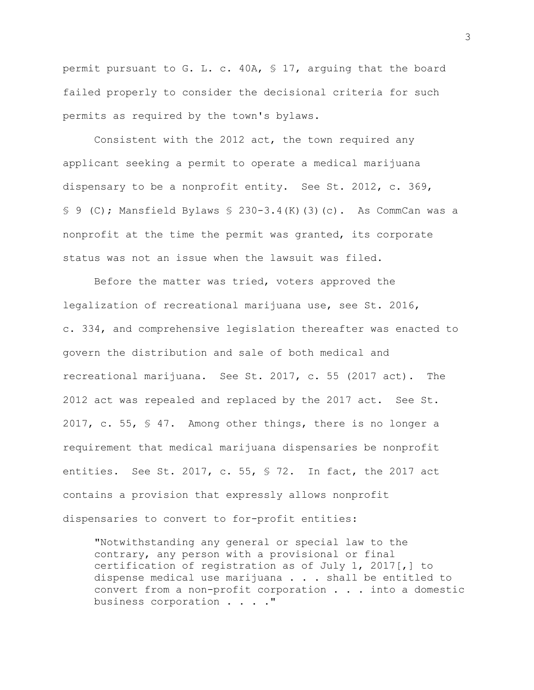permit pursuant to G. L. c. 40A, § 17, arguing that the board failed properly to consider the decisional criteria for such permits as required by the town's bylaws.

Consistent with the 2012 act, the town required any applicant seeking a permit to operate a medical marijuana dispensary to be a nonprofit entity. See St. 2012, c. 369, § 9 (C); Mansfield Bylaws § 230-3.4(K)(3)(c). As CommCan was a nonprofit at the time the permit was granted, its corporate status was not an issue when the lawsuit was filed.

Before the matter was tried, voters approved the legalization of recreational marijuana use, see St. 2016, c. 334, and comprehensive legislation thereafter was enacted to govern the distribution and sale of both medical and recreational marijuana. See St. 2017, c. 55 (2017 act). The 2012 act was repealed and replaced by the 2017 act. See St. 2017, c. 55, § 47. Among other things, there is no longer a requirement that medical marijuana dispensaries be nonprofit entities. See St. 2017, c. 55, § 72. In fact, the 2017 act contains a provision that expressly allows nonprofit dispensaries to convert to for-profit entities:

"Notwithstanding any general or special law to the contrary, any person with a provisional or final certification of registration as of July 1, 2017[,] to dispense medical use marijuana . . . shall be entitled to convert from a non-profit corporation . . . into a domestic business corporation . . . ."

3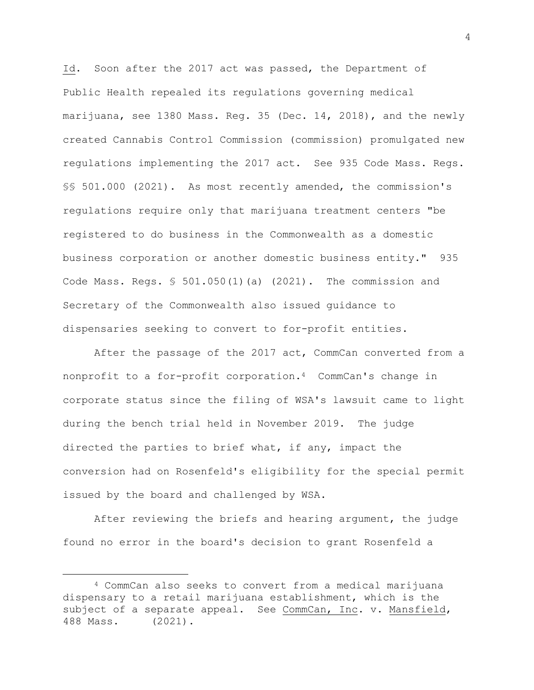Id. Soon after the 2017 act was passed, the Department of Public Health repealed its regulations governing medical marijuana, see 1380 Mass. Reg. 35 (Dec. 14, 2018), and the newly created Cannabis Control Commission (commission) promulgated new regulations implementing the 2017 act. See 935 Code Mass. Regs. §§ 501.000 (2021). As most recently amended, the commission's regulations require only that marijuana treatment centers "be registered to do business in the Commonwealth as a domestic business corporation or another domestic business entity." 935 Code Mass. Regs. § 501.050(1)(a) (2021). The commission and Secretary of the Commonwealth also issued guidance to dispensaries seeking to convert to for-profit entities.

After the passage of the 2017 act, CommCan converted from a nonprofit to a for-profit corporation.<sup>4</sup> CommCan's change in corporate status since the filing of WSA's lawsuit came to light during the bench trial held in November 2019. The judge directed the parties to brief what, if any, impact the conversion had on Rosenfeld's eligibility for the special permit issued by the board and challenged by WSA.

After reviewing the briefs and hearing argument, the judge found no error in the board's decision to grant Rosenfeld a

<sup>4</sup> CommCan also seeks to convert from a medical marijuana dispensary to a retail marijuana establishment, which is the subject of a separate appeal. See CommCan, Inc. v. Mansfield, 488 Mass. (2021).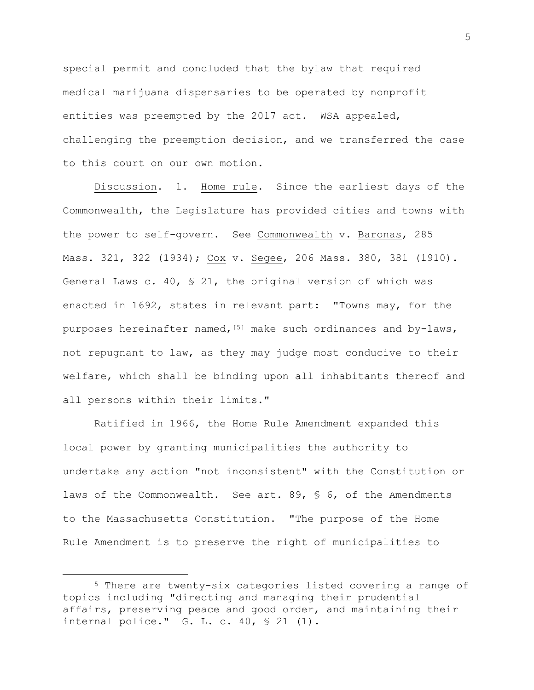special permit and concluded that the bylaw that required medical marijuana dispensaries to be operated by nonprofit entities was preempted by the 2017 act. WSA appealed, challenging the preemption decision, and we transferred the case to this court on our own motion.

Discussion. 1. Home rule. Since the earliest days of the Commonwealth, the Legislature has provided cities and towns with the power to self-govern. See Commonwealth v. Baronas, 285 Mass. 321, 322 (1934); Cox v. Segee, 206 Mass. 380, 381 (1910). General Laws c. 40, § 21, the original version of which was enacted in 1692, states in relevant part: "Towns may, for the purposes hereinafter named,  $[5]$  make such ordinances and by-laws, not repugnant to law, as they may judge most conducive to their welfare, which shall be binding upon all inhabitants thereof and all persons within their limits."

Ratified in 1966, the Home Rule Amendment expanded this local power by granting municipalities the authority to undertake any action "not inconsistent" with the Constitution or laws of the Commonwealth. See art. 89, § 6, of the Amendments to the Massachusetts Constitution. "The purpose of the Home Rule Amendment is to preserve the right of municipalities to

<sup>5</sup> There are twenty-six categories listed covering a range of topics including "directing and managing their prudential affairs, preserving peace and good order, and maintaining their internal police." G. L. c. 40, § 21 (1).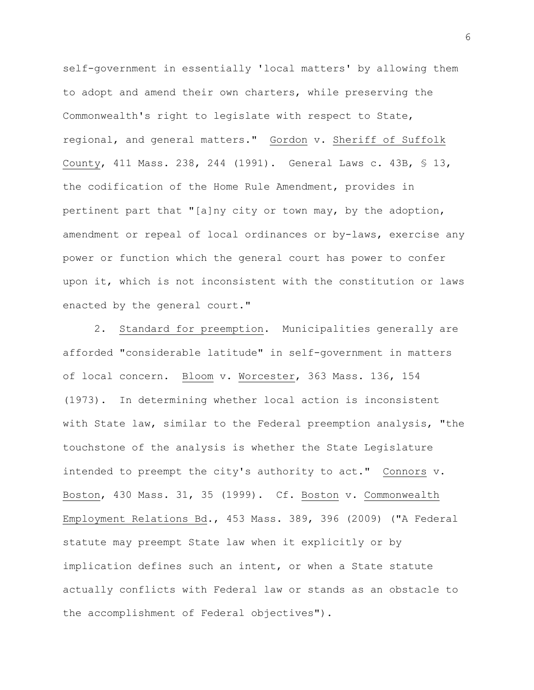self-government in essentially 'local matters' by allowing them to adopt and amend their own charters, while preserving the Commonwealth's right to legislate with respect to State, regional, and general matters." Gordon v. Sheriff of Suffolk County, 411 Mass. 238, 244 (1991). General Laws c. 43B, § 13, the codification of the Home Rule Amendment, provides in pertinent part that "[a]ny city or town may, by the adoption, amendment or repeal of local ordinances or by-laws, exercise any power or function which the general court has power to confer upon it, which is not inconsistent with the constitution or laws enacted by the general court."

2. Standard for preemption. Municipalities generally are afforded "considerable latitude" in self-government in matters of local concern. Bloom v. Worcester, 363 Mass. 136, 154 (1973). In determining whether local action is inconsistent with State law, similar to the Federal preemption analysis, "the touchstone of the analysis is whether the State Legislature intended to preempt the city's authority to act." Connors v. Boston, 430 Mass. 31, 35 (1999). Cf. Boston v. Commonwealth Employment Relations Bd., 453 Mass. 389, 396 (2009) ("A Federal statute may preempt State law when it explicitly or by implication defines such an intent, or when a State statute actually conflicts with Federal law or stands as an obstacle to the accomplishment of Federal objectives").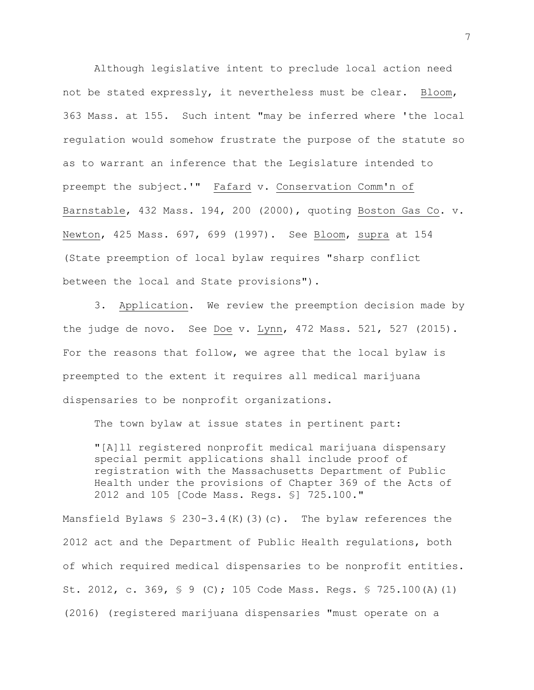Although legislative intent to preclude local action need not be stated expressly, it nevertheless must be clear. Bloom, 363 Mass. at 155. Such intent "may be inferred where 'the local regulation would somehow frustrate the purpose of the statute so as to warrant an inference that the Legislature intended to preempt the subject.'" Fafard v. Conservation Comm'n of Barnstable, 432 Mass. 194, 200 (2000), quoting Boston Gas Co. v. Newton, 425 Mass. 697, 699 (1997). See Bloom, supra at 154 (State preemption of local bylaw requires "sharp conflict between the local and State provisions").

3. Application. We review the preemption decision made by the judge de novo. See Doe v. Lynn, 472 Mass. 521, 527 (2015). For the reasons that follow, we agree that the local bylaw is preempted to the extent it requires all medical marijuana dispensaries to be nonprofit organizations.

The town bylaw at issue states in pertinent part:

"[A]ll registered nonprofit medical marijuana dispensary special permit applications shall include proof of registration with the Massachusetts Department of Public Health under the provisions of Chapter 369 of the Acts of 2012 and 105 [Code Mass. Regs. §] 725.100."

Mansfield Bylaws  $$ 230-3.4(K)(3)(c)$ . The bylaw references the 2012 act and the Department of Public Health regulations, both of which required medical dispensaries to be nonprofit entities. St. 2012, c. 369, § 9 (C); 105 Code Mass. Regs. § 725.100(A)(1) (2016) (registered marijuana dispensaries "must operate on a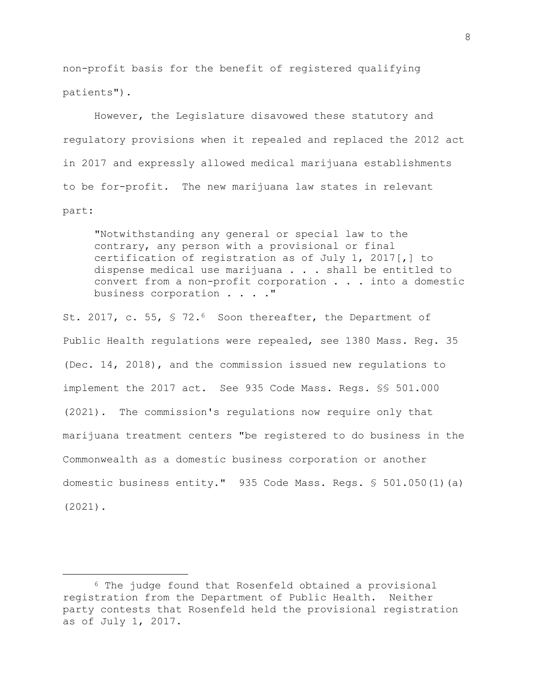non-profit basis for the benefit of registered qualifying patients").

However, the Legislature disavowed these statutory and regulatory provisions when it repealed and replaced the 2012 act in 2017 and expressly allowed medical marijuana establishments to be for-profit. The new marijuana law states in relevant part:

"Notwithstanding any general or special law to the contrary, any person with a provisional or final certification of registration as of July 1, 2017[,] to dispense medical use marijuana . . . shall be entitled to convert from a non-profit corporation . . . into a domestic business corporation . . . ."

St. 2017, c. 55, § 72.<sup>6</sup> Soon thereafter, the Department of Public Health regulations were repealed, see 1380 Mass. Reg. 35 (Dec. 14, 2018), and the commission issued new regulations to implement the 2017 act. See 935 Code Mass. Regs. §§ 501.000 (2021). The commission's regulations now require only that marijuana treatment centers "be registered to do business in the Commonwealth as a domestic business corporation or another domestic business entity." 935 Code Mass. Regs. § 501.050(1)(a) (2021).

8

<sup>6</sup> The judge found that Rosenfeld obtained a provisional registration from the Department of Public Health. Neither party contests that Rosenfeld held the provisional registration as of July 1, 2017.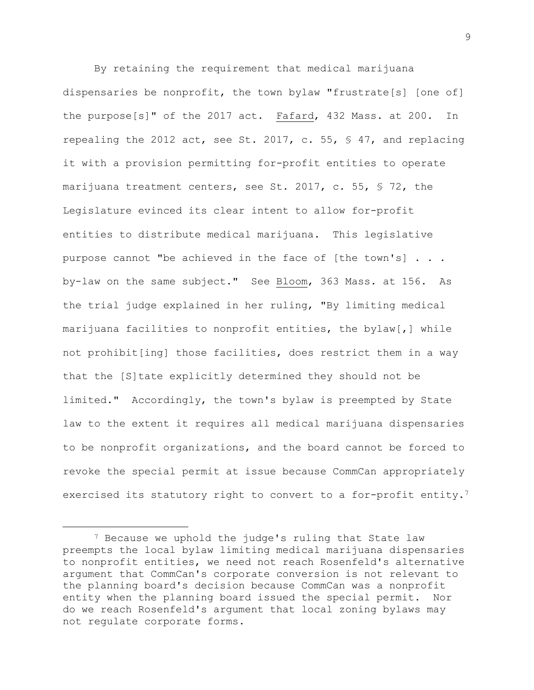By retaining the requirement that medical marijuana dispensaries be nonprofit, the town bylaw "frustrate[s] [one of] the purpose[s]" of the 2017 act. Fafard, 432 Mass. at 200. In repealing the 2012 act, see St. 2017, c. 55, § 47, and replacing it with a provision permitting for-profit entities to operate marijuana treatment centers, see St. 2017, c. 55, § 72, the Legislature evinced its clear intent to allow for-profit entities to distribute medical marijuana. This legislative purpose cannot "be achieved in the face of [the town's] . . . by-law on the same subject." See Bloom, 363 Mass. at 156. As the trial judge explained in her ruling, "By limiting medical marijuana facilities to nonprofit entities, the bylaw[,] while not prohibit[ing] those facilities, does restrict them in a way that the [S]tate explicitly determined they should not be limited." Accordingly, the town's bylaw is preempted by State law to the extent it requires all medical marijuana dispensaries to be nonprofit organizations, and the board cannot be forced to revoke the special permit at issue because CommCan appropriately exercised its statutory right to convert to a for-profit entity.<sup>7</sup>

<sup>7</sup> Because we uphold the judge's ruling that State law preempts the local bylaw limiting medical marijuana dispensaries to nonprofit entities, we need not reach Rosenfeld's alternative argument that CommCan's corporate conversion is not relevant to the planning board's decision because CommCan was a nonprofit entity when the planning board issued the special permit. Nor do we reach Rosenfeld's argument that local zoning bylaws may not regulate corporate forms**.**